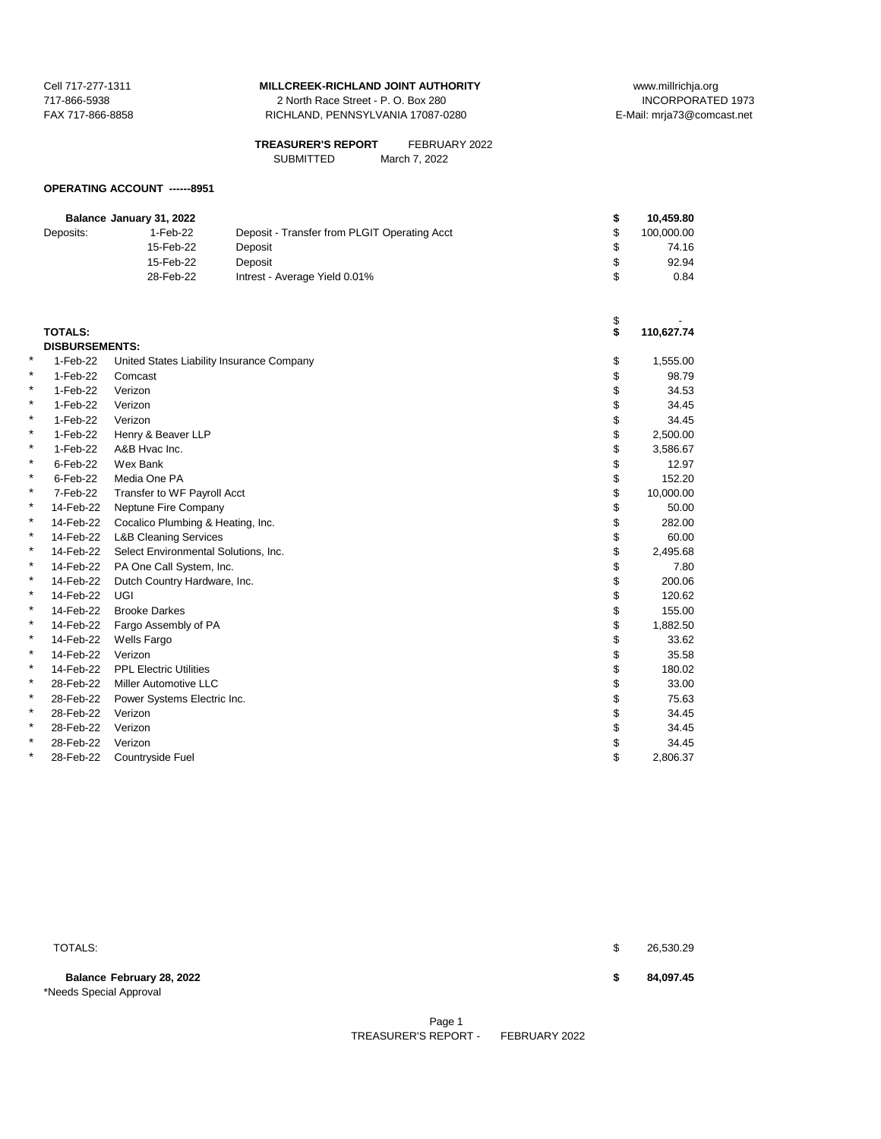717-866-5938 2 North Race Street - P. O. Box 280 FAX 717-866-8858 RICHLAND, PENNSYLVANIA 17087-0280 E-Mail: mrja73@comcast.net

| <b>TREASURER'S REPORT</b> | FEBRUARY 2022 |
|---------------------------|---------------|
| <b>SUBMITTED</b>          | March 7, 2022 |

## **OPERATING ACCOUNT ------8951**

|           |                                                                                                                                            |                                                                                                                                                    | \$                                                                                                                                                                                                                                                                                                                                                            | 10,459.80                                                                              |
|-----------|--------------------------------------------------------------------------------------------------------------------------------------------|----------------------------------------------------------------------------------------------------------------------------------------------------|---------------------------------------------------------------------------------------------------------------------------------------------------------------------------------------------------------------------------------------------------------------------------------------------------------------------------------------------------------------|----------------------------------------------------------------------------------------|
| Deposits: | 1-Feb-22                                                                                                                                   | Deposit - Transfer from PLGIT Operating Acct                                                                                                       | \$                                                                                                                                                                                                                                                                                                                                                            | 100,000.00                                                                             |
|           | 15-Feb-22                                                                                                                                  | Deposit                                                                                                                                            | \$                                                                                                                                                                                                                                                                                                                                                            | 74.16                                                                                  |
|           | 15-Feb-22                                                                                                                                  | Deposit                                                                                                                                            | \$                                                                                                                                                                                                                                                                                                                                                            | 92.94                                                                                  |
|           | 28-Feb-22                                                                                                                                  | Intrest - Average Yield 0.01%                                                                                                                      | \$                                                                                                                                                                                                                                                                                                                                                            | 0.84                                                                                   |
|           |                                                                                                                                            |                                                                                                                                                    |                                                                                                                                                                                                                                                                                                                                                               |                                                                                        |
|           |                                                                                                                                            |                                                                                                                                                    |                                                                                                                                                                                                                                                                                                                                                               |                                                                                        |
|           |                                                                                                                                            |                                                                                                                                                    |                                                                                                                                                                                                                                                                                                                                                               | 110,627.74                                                                             |
|           |                                                                                                                                            |                                                                                                                                                    |                                                                                                                                                                                                                                                                                                                                                               |                                                                                        |
|           |                                                                                                                                            |                                                                                                                                                    |                                                                                                                                                                                                                                                                                                                                                               | 1,555.00                                                                               |
|           |                                                                                                                                            |                                                                                                                                                    |                                                                                                                                                                                                                                                                                                                                                               | 98.79                                                                                  |
|           |                                                                                                                                            |                                                                                                                                                    |                                                                                                                                                                                                                                                                                                                                                               | 34.53                                                                                  |
|           |                                                                                                                                            |                                                                                                                                                    |                                                                                                                                                                                                                                                                                                                                                               | 34.45                                                                                  |
|           |                                                                                                                                            |                                                                                                                                                    |                                                                                                                                                                                                                                                                                                                                                               | 34.45                                                                                  |
|           |                                                                                                                                            |                                                                                                                                                    |                                                                                                                                                                                                                                                                                                                                                               | 2,500.00                                                                               |
| 1-Feb-22  | A&B Hvac Inc.                                                                                                                              |                                                                                                                                                    |                                                                                                                                                                                                                                                                                                                                                               | 3,586.67                                                                               |
| 6-Feb-22  | Wex Bank                                                                                                                                   |                                                                                                                                                    | \$                                                                                                                                                                                                                                                                                                                                                            | 12.97                                                                                  |
| 6-Feb-22  | Media One PA                                                                                                                               |                                                                                                                                                    |                                                                                                                                                                                                                                                                                                                                                               | 152.20                                                                                 |
| 7-Feb-22  |                                                                                                                                            |                                                                                                                                                    | \$                                                                                                                                                                                                                                                                                                                                                            | 10,000.00                                                                              |
| 14-Feb-22 |                                                                                                                                            |                                                                                                                                                    | \$                                                                                                                                                                                                                                                                                                                                                            | 50.00                                                                                  |
| 14-Feb-22 |                                                                                                                                            |                                                                                                                                                    | \$                                                                                                                                                                                                                                                                                                                                                            | 282.00                                                                                 |
| 14-Feb-22 |                                                                                                                                            |                                                                                                                                                    | \$                                                                                                                                                                                                                                                                                                                                                            | 60.00                                                                                  |
| 14-Feb-22 |                                                                                                                                            |                                                                                                                                                    | \$                                                                                                                                                                                                                                                                                                                                                            | 2,495.68                                                                               |
| 14-Feb-22 |                                                                                                                                            |                                                                                                                                                    | \$                                                                                                                                                                                                                                                                                                                                                            | 7.80                                                                                   |
| 14-Feb-22 |                                                                                                                                            |                                                                                                                                                    | \$                                                                                                                                                                                                                                                                                                                                                            | 200.06                                                                                 |
| 14-Feb-22 | UGI                                                                                                                                        |                                                                                                                                                    | \$                                                                                                                                                                                                                                                                                                                                                            | 120.62                                                                                 |
| 14-Feb-22 | <b>Brooke Darkes</b>                                                                                                                       |                                                                                                                                                    | \$                                                                                                                                                                                                                                                                                                                                                            | 155.00                                                                                 |
| 14-Feb-22 |                                                                                                                                            |                                                                                                                                                    | \$                                                                                                                                                                                                                                                                                                                                                            | 1,882.50                                                                               |
| 14-Feb-22 | <b>Wells Fargo</b>                                                                                                                         |                                                                                                                                                    | \$                                                                                                                                                                                                                                                                                                                                                            | 33.62                                                                                  |
| 14-Feb-22 | Verizon                                                                                                                                    |                                                                                                                                                    | \$                                                                                                                                                                                                                                                                                                                                                            | 35.58                                                                                  |
| 14-Feb-22 | <b>PPL Electric Utilities</b>                                                                                                              |                                                                                                                                                    |                                                                                                                                                                                                                                                                                                                                                               | 180.02                                                                                 |
|           |                                                                                                                                            |                                                                                                                                                    |                                                                                                                                                                                                                                                                                                                                                               | 33.00                                                                                  |
| 28-Feb-22 |                                                                                                                                            |                                                                                                                                                    | \$                                                                                                                                                                                                                                                                                                                                                            | 75.63                                                                                  |
| 28-Feb-22 | Verizon                                                                                                                                    |                                                                                                                                                    |                                                                                                                                                                                                                                                                                                                                                               | 34.45                                                                                  |
|           | Verizon                                                                                                                                    |                                                                                                                                                    |                                                                                                                                                                                                                                                                                                                                                               | 34.45                                                                                  |
|           |                                                                                                                                            |                                                                                                                                                    |                                                                                                                                                                                                                                                                                                                                                               | 34.45                                                                                  |
|           |                                                                                                                                            |                                                                                                                                                    |                                                                                                                                                                                                                                                                                                                                                               | 2,806.37                                                                               |
|           | <b>TOTALS:</b><br>1-Feb-22<br>1-Feb-22<br>1-Feb-22<br>1-Feb-22<br>1-Feb-22<br>1-Feb-22<br>28-Feb-22<br>28-Feb-22<br>28-Feb-22<br>28-Feb-22 | Balance January 31, 2022<br><b>DISBURSEMENTS:</b><br>Comcast<br>Verizon<br>Verizon<br>Verizon<br>Henry & Beaver LLP<br>Verizon<br>Countryside Fuel | United States Liability Insurance Company<br>Transfer to WF Payroll Acct<br>Neptune Fire Company<br>Cocalico Plumbing & Heating, Inc.<br><b>L&amp;B Cleaning Services</b><br>Select Environmental Solutions, Inc.<br>PA One Call System, Inc.<br>Dutch Country Hardware, Inc.<br>Fargo Assembly of PA<br>Miller Automotive LLC<br>Power Systems Electric Inc. | \$<br>\$<br>\$<br>\$<br>\$<br>\$<br>\$<br>\$<br>\$<br>\$<br>\$<br>\$<br>\$<br>\$<br>\$ |

**Balance February 28, 2022 \$ 84,097.45** \*Needs Special Approval

 $\texttt{TOTALS:} \quad \texttt{\$} \quad \texttt{\$} \quad \texttt{\$} \quad \texttt{\$} \quad \texttt{\$} \quad \texttt{\$} \quad \texttt{\$} \quad \texttt{\$} \quad \texttt{\$} \quad \texttt{\$} \quad \texttt{\$} \quad \texttt{\$} \quad \texttt{\$} \quad \texttt{\$} \quad \texttt{\$} \quad \texttt{\$} \quad \texttt{\$} \quad \texttt{\$} \quad \texttt{\$} \quad \texttt{\$} \quad \texttt{\$} \quad \texttt{\$} \quad \texttt{\$} \quad \texttt{\$} \quad \texttt{\$} \quad \texttt{\$} \quad \text$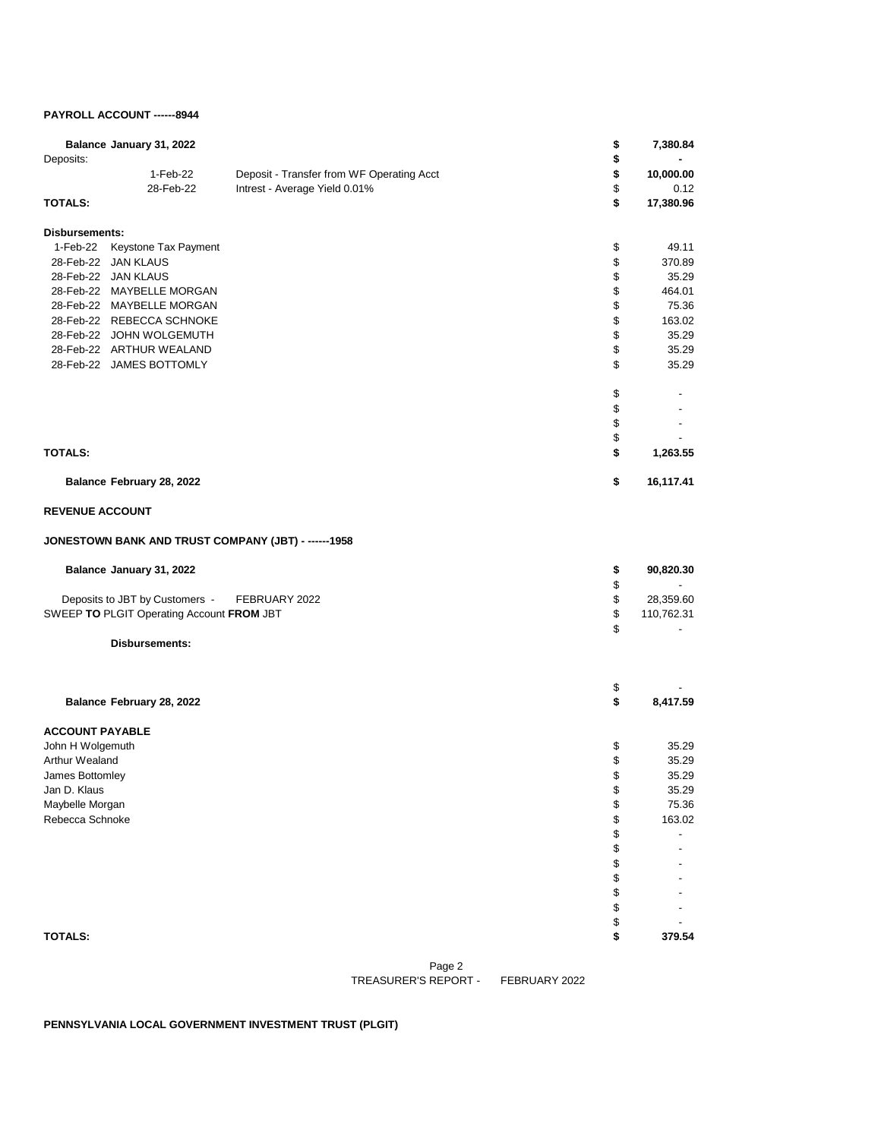## **PAYROLL ACCOUNT ------8944**

| Deposits:                       | Balance January 31, 2022                              |                                                     | \$<br>\$ | 7,380.84                              |
|---------------------------------|-------------------------------------------------------|-----------------------------------------------------|----------|---------------------------------------|
|                                 | 1-Feb-22                                              | Deposit - Transfer from WF Operating Acct           | \$       | 10,000.00                             |
|                                 | 28-Feb-22                                             | Intrest - Average Yield 0.01%                       | \$       | 0.12                                  |
| <b>TOTALS:</b>                  |                                                       |                                                     | \$       | 17,380.96                             |
| <b>Disbursements:</b>           |                                                       |                                                     |          |                                       |
| 1-Feb-22                        | Keystone Tax Payment                                  |                                                     | \$       | 49.11                                 |
|                                 | 28-Feb-22 JAN KLAUS                                   |                                                     | \$       | 370.89                                |
|                                 | 28-Feb-22 JAN KLAUS                                   |                                                     | \$       | 35.29                                 |
|                                 | 28-Feb-22 MAYBELLE MORGAN                             |                                                     | \$       | 464.01                                |
|                                 | 28-Feb-22 MAYBELLE MORGAN                             |                                                     | \$       | 75.36                                 |
|                                 | 28-Feb-22 REBECCA SCHNOKE<br>28-Feb-22 JOHN WOLGEMUTH |                                                     | \$<br>\$ | 163.02                                |
|                                 | 28-Feb-22 ARTHUR WEALAND                              |                                                     | \$       | 35.29<br>35.29                        |
|                                 | 28-Feb-22 JAMES BOTTOMLY                              |                                                     | \$       | 35.29                                 |
|                                 |                                                       |                                                     | \$       |                                       |
|                                 |                                                       |                                                     | \$       |                                       |
|                                 |                                                       |                                                     | \$       | $\sim$                                |
|                                 |                                                       |                                                     | \$       |                                       |
| <b>TOTALS:</b>                  |                                                       |                                                     | \$       | 1,263.55                              |
|                                 | Balance February 28, 2022                             |                                                     | \$       | 16,117.41                             |
| <b>REVENUE ACCOUNT</b>          |                                                       |                                                     |          |                                       |
|                                 |                                                       | JONESTOWN BANK AND TRUST COMPANY (JBT) - ------1958 |          |                                       |
|                                 | Balance January 31, 2022                              |                                                     | \$       | 90,820.30                             |
|                                 | Deposits to JBT by Customers -                        | FEBRUARY 2022                                       | \$<br>\$ | $\overline{\phantom{a}}$<br>28,359.60 |
|                                 | SWEEP TO PLGIT Operating Account FROM JBT             |                                                     | \$       | 110,762.31                            |
|                                 |                                                       |                                                     | \$       |                                       |
|                                 | Disbursements:                                        |                                                     |          |                                       |
|                                 |                                                       |                                                     |          |                                       |
|                                 | Balance February 28, 2022                             |                                                     | \$<br>\$ | 8,417.59                              |
|                                 |                                                       |                                                     |          |                                       |
| <b>ACCOUNT PAYABLE</b>          |                                                       |                                                     |          |                                       |
| John H Wolgemuth                |                                                       |                                                     | \$       | 35.29                                 |
| Arthur Wealand                  |                                                       |                                                     | \$       | 35.29                                 |
| James Bottomley                 |                                                       |                                                     | \$       | 35.29                                 |
| Jan D. Klaus<br>Maybelle Morgan |                                                       |                                                     | \$<br>\$ | 35.29<br>75.36                        |
| Rebecca Schnoke                 |                                                       |                                                     | \$       | 163.02                                |
|                                 |                                                       |                                                     | \$       |                                       |
|                                 |                                                       |                                                     | \$       |                                       |
|                                 |                                                       |                                                     | \$       |                                       |
|                                 |                                                       |                                                     | \$       |                                       |
|                                 |                                                       |                                                     | \$       |                                       |
|                                 |                                                       |                                                     | \$       |                                       |
|                                 |                                                       |                                                     | \$       |                                       |
| <b>TOTALS:</b>                  |                                                       |                                                     | \$       | 379.54                                |
|                                 |                                                       |                                                     |          |                                       |

Page 2 FEBRUARY 2022 TREASURER'S REPORT -